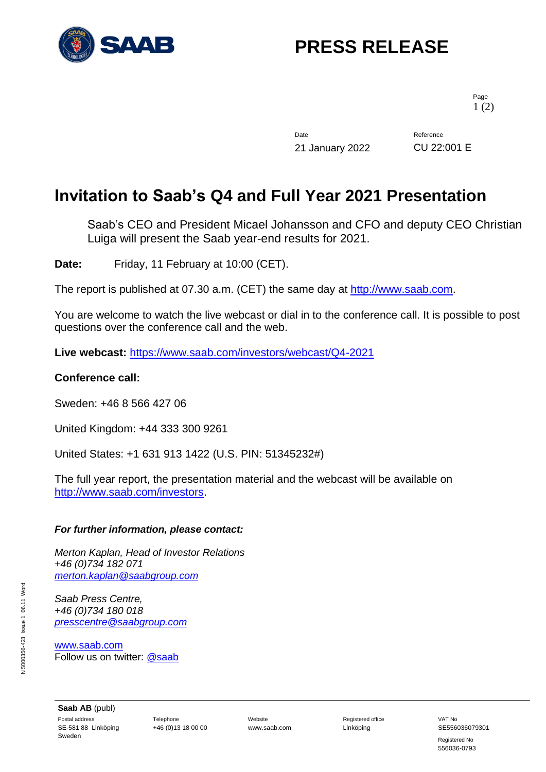

# **PRESS RELEASE**

Page 1 (2)

Date Reference 21 January 2022 CU 22:001 E

### **Invitation to Saab's Q4 and Full Year 2021 Presentation**

Saab's CEO and President Micael Johansson and CFO and deputy CEO Christian Luiga will present the Saab year-end results for 2021.

**Date:** Friday, 11 February at 10:00 (CET).

The report is published at 07.30 a.m. (CET) the same day at [http://www.saab.com.](http://www.saab.com/)

You are welcome to watch the live webcast or dial in to the conference call. It is possible to post questions over the conference call and the web.

**Live webcast:** <https://www.saab.com/investors/webcast/Q4-2021>

### **Conference call:**

Sweden: +46 8 566 427 06

United Kingdom: +44 333 300 9261

United States: +1 631 913 1422 (U.S. PIN: 51345232#)

The full year report, the presentation material and the webcast will be available on [http://www.saab.com/investors.](http://www.saab.com/investors)

#### *For further information, please contact:*

*Merton Kaplan, Head of Investor Relations +46 (0)734 182 071 [merton.kaplan@saabgroup.com](mailto:merton.kaplan@saabgroup.com)*

*Saab Press Centre, +46 (0)734 180 018 [presscentre@saabgroup.com](mailto:presscentre@saabgroup.com)*

[www.saab.com](http://www.saab.com/) Follow us on twitter: [@saab](http://twitter.com/saab)

**Saab AB** (publ) Postal address **Telephone** Telephone Website **Website Registered office** VAT No SE-581 88 Linköping Sweden

+46 (0)13 18 00 00 www.saab.com Linköping SE556036079301

Registered No 556036-0793